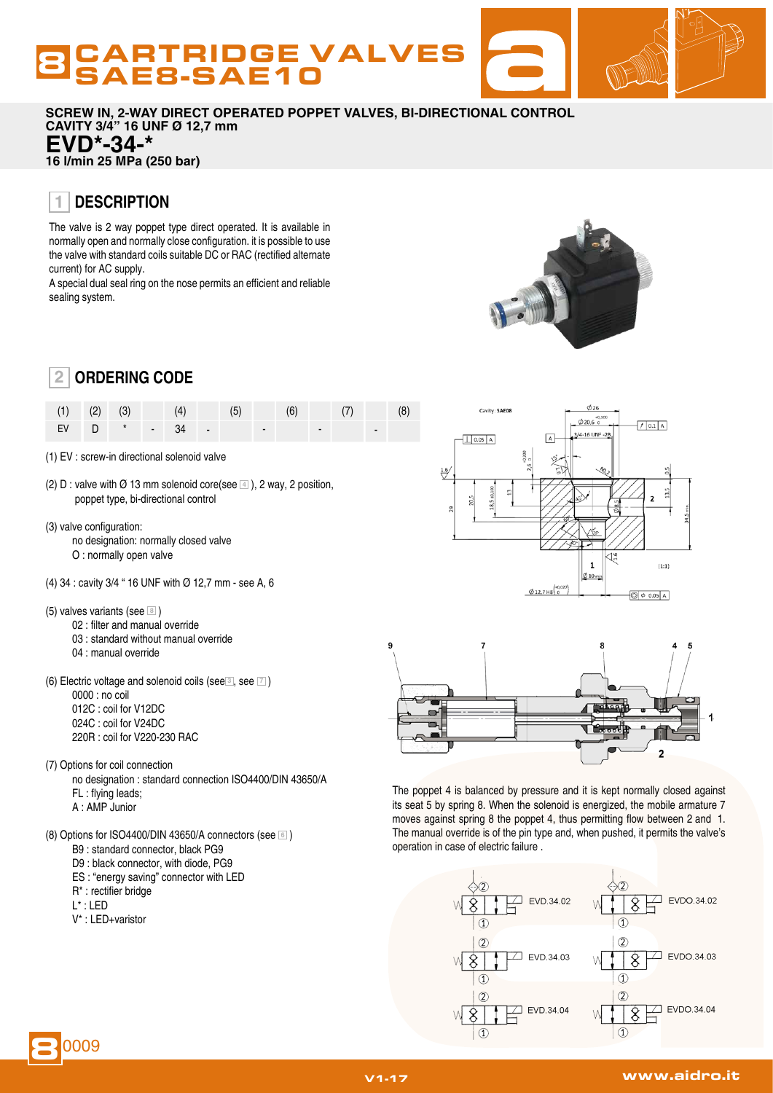# **BCARTRIDGE VALVES**

**SCREW IN, 2-WAY DIRECT OPERATED POPPET VALVES, BI-DIRECTIONAL CONTROL CAVITY 3/4" 16 UNF Ø 12,7 mm EVD\*-34-\***

**16 l/min 25 MPa (250 bar)**

#### **DESCRIPTION 1**

The valve is 2 way poppet type direct operated. It is available in normally open and normally close configuration. it is possible to use the valve with standard coils suitable DC or RAC (rectified alternate current) for AC supply.

A special dual seal ring on the nose permits an efficient and reliable sealing system.



| (1) (2) (3) (4) (5) (6) (7) (8)                                     |  |  |  |  |  |  |
|---------------------------------------------------------------------|--|--|--|--|--|--|
| $EV$   $D$ $*$   $-$   34   $-$   $-$   $-$   $-$   $-$   $-$   $-$ |  |  |  |  |  |  |

- (1) EV : screw-in directional solenoid valve
- (2) D : valve with  $\emptyset$  13 mm solenoid core(see  $\boxed{4}$ ), 2 way, 2 position, poppet type, bi-directional control
- (3) valve configuration: no designation: normally closed valve O : normally open valve
- (4) 34 : cavity 3/4 " 16 UNF with Ø 12,7 mm see A, 6
- (5) valves variants (see **<sup>8</sup>** )
	- 02 : filter and manual override
	- 03 : standard without manual override
	- 04 : manual override
- (6) Electric voltage and solenoid coils (see **<sup>3</sup>** , see **<sup>7</sup>** )
	- 0000 : no coil 012C : coil for V12DC
	- 024C : coil for V24DC
	- 220R : coil for V220-230 RAC
- (7) Options for coil connection

no designation : standard connection ISO4400/DIN 43650/A

- FL : flying leads;
- A : AMP Junior
- (8) Options for ISO4400/DIN 43650/A connectors (see **<sup>6</sup>** )
	- B9 : standard connector, black PG9
	- D9 : black connector, with diode, PG9
	- ES : "energy saving" connector with LED
	- R\* : rectifier bridge
	- L\* : LED
	- V\* : LED+varistor





The poppet 4 is balanced by pressure and it is kept normally closed against its seat 5 by spring 8. When the solenoid is energized, the mobile armature 7 moves against spring 8 the poppet 4, thus permitting flow between 2 and 1. The manual override is of the pin type and, when pushed, it permits the valve's operation in case of electric failure .